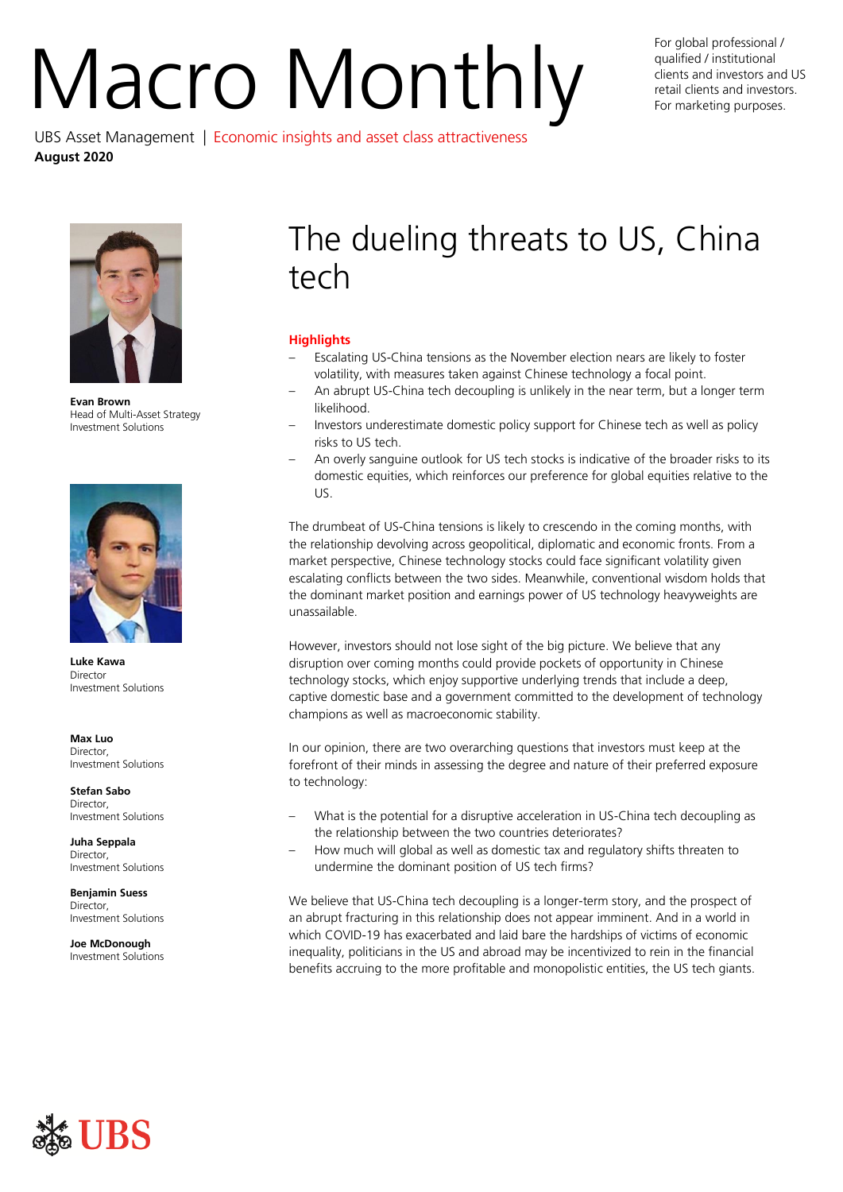# For global professional /<br>qualified / institutional<br>For marketing purposes. UBS Asset Management | Economic insights and asset class attractiveness

qualified / institutional clients and investors and US retail clients and investors. For marketing purposes.



**August 2020**

**Evan Brown** Head of Multi-Asset Strategy Investment Solutions



**Luke Kawa** Director Investment Solutions

**Max Luo** Director, Investment Solutions

**Stefan Sabo Director** Investment Solutions

**Juha Seppala** Director, Investment Solutions

**Benjamin Suess** Director, Investment Solutions

**Joe McDonough** Investment Solutions

# The dueling threats to US, China tech

# **Highlights**

- Escalating US-China tensions as the November election nears are likely to foster volatility, with measures taken against Chinese technology a focal point.
- An abrupt US-China tech decoupling is unlikely in the near term, but a longer term likelihood.
- Investors underestimate domestic policy support for Chinese tech as well as policy risks to US tech.
- An overly sanguine outlook for US tech stocks is indicative of the broader risks to its domestic equities, which reinforces our preference for global equities relative to the US.

The drumbeat of US-China tensions is likely to crescendo in the coming months, with the relationship devolving across geopolitical, diplomatic and economic fronts. From a market perspective, Chinese technology stocks could face significant volatility given escalating conflicts between the two sides. Meanwhile, conventional wisdom holds that the dominant market position and earnings power of US technology heavyweights are unassailable.

However, investors should not lose sight of the big picture. We believe that any disruption over coming months could provide pockets of opportunity in Chinese technology stocks, which enjoy supportive underlying trends that include a deep, captive domestic base and a government committed to the development of technology champions as well as macroeconomic stability.

In our opinion, there are two overarching questions that investors must keep at the forefront of their minds in assessing the degree and nature of their preferred exposure to technology:

- What is the potential for a disruptive acceleration in US-China tech decoupling as the relationship between the two countries deteriorates?
- How much will global as well as domestic tax and regulatory shifts threaten to undermine the dominant position of US tech firms?

We believe that US-China tech decoupling is a longer-term story, and the prospect of an abrupt fracturing in this relationship does not appear imminent. And in a world in which COVID-19 has exacerbated and laid bare the hardships of victims of economic inequality, politicians in the US and abroad may be incentivized to rein in the financial benefits accruing to the more profitable and monopolistic entities, the US tech giants.

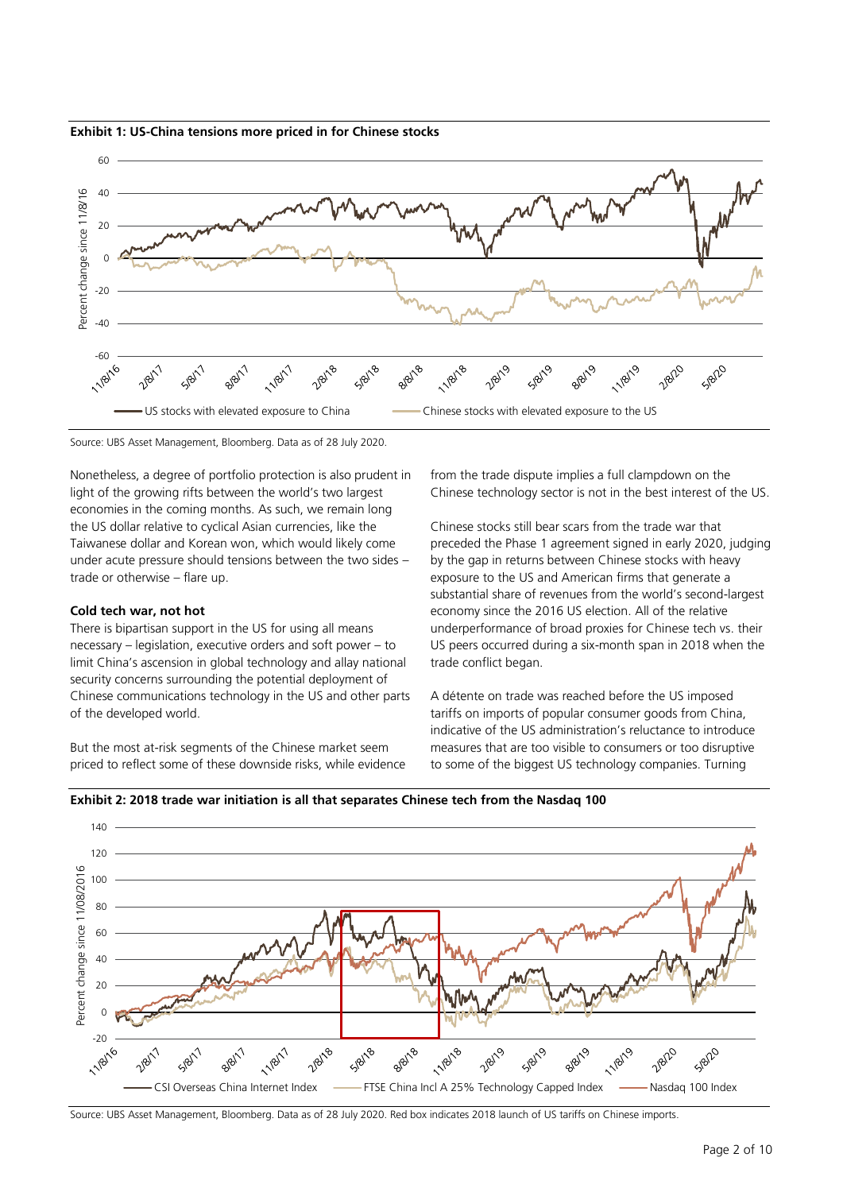





Nonetheless, a degree of portfolio protection is also prudent in light of the growing rifts between the world's two largest economies in the coming months. As such, we remain long the US dollar relative to cyclical Asian currencies, like the Taiwanese dollar and Korean won, which would likely come under acute pressure should tensions between the two sides – trade or otherwise – flare up.

### **Cold tech war, not hot**

There is bipartisan support in the US for using all means necessary – legislation, executive orders and soft power – to limit China's ascension in global technology and allay national security concerns surrounding the potential deployment of Chinese communications technology in the US and other parts of the developed world.

But the most at-risk segments of the Chinese market seem priced to reflect some of these downside risks, while evidence from the trade dispute implies a full clampdown on the Chinese technology sector is not in the best interest of the US.

Chinese stocks still bear scars from the trade war that preceded the Phase 1 agreement signed in early 2020, judging by the gap in returns between Chinese stocks with heavy exposure to the US and American firms that generate a substantial share of revenues from the world's second-largest economy since the 2016 US election. All of the relative underperformance of broad proxies for Chinese tech vs. their US peers occurred during a six-month span in 2018 when the trade conflict began.

A détente on trade was reached before the US imposed tariffs on imports of popular consumer goods from China, indicative of the US administration's reluctance to introduce measures that are too visible to consumers or too disruptive to some of the biggest US technology companies. Turning





Source: UBS Asset Management, Bloomberg. Data as of 28 July 2020. Red box indicates 2018 launch of US tariffs on Chinese imports.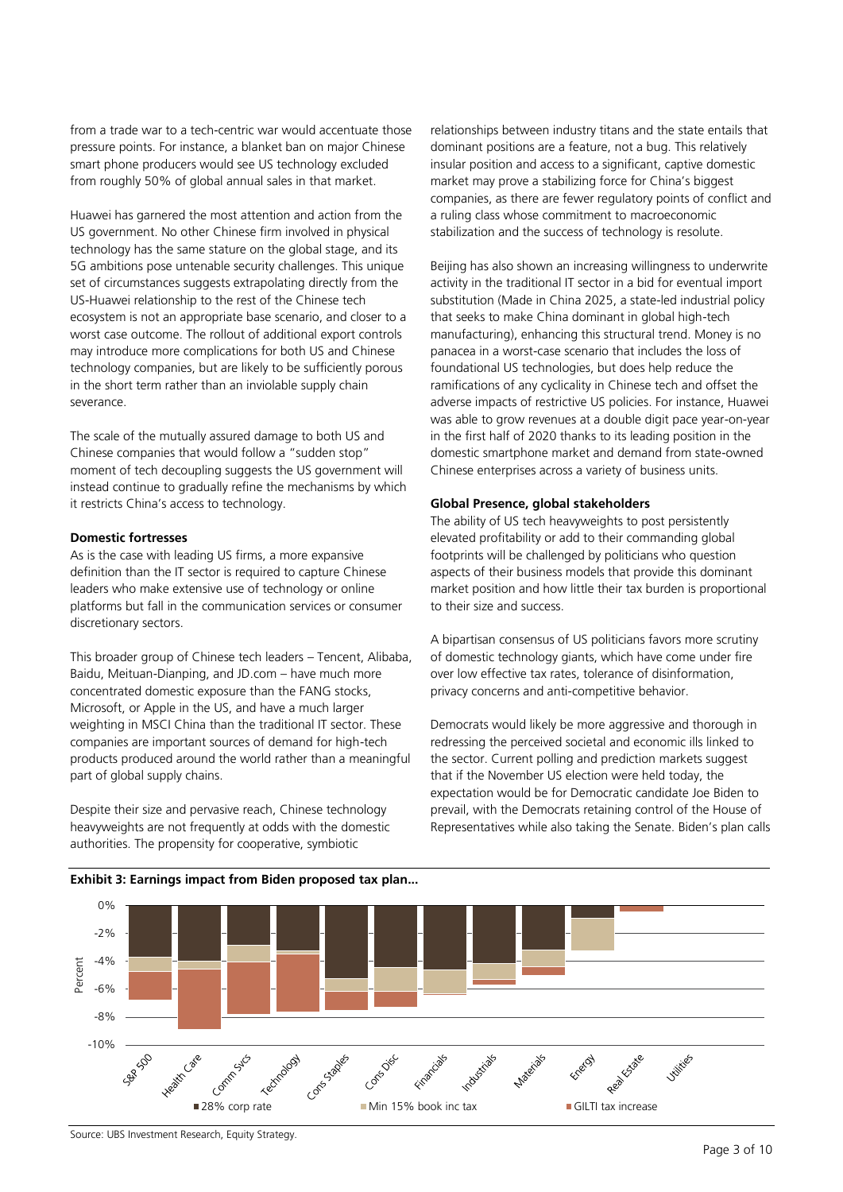from a trade war to a tech-centric war would accentuate those pressure points. For instance, a blanket ban on major Chinese smart phone producers would see US technology excluded from roughly 50% of global annual sales in that market.

Huawei has garnered the most attention and action from the US government. No other Chinese firm involved in physical technology has the same stature on the global stage, and its 5G ambitions pose untenable security challenges. This unique set of circumstances suggests extrapolating directly from the US-Huawei relationship to the rest of the Chinese tech ecosystem is not an appropriate base scenario, and closer to a worst case outcome. The rollout of additional export controls may introduce more complications for both US and Chinese technology companies, but are likely to be sufficiently porous in the short term rather than an inviolable supply chain severance.

The scale of the mutually assured damage to both US and Chinese companies that would follow a "sudden stop" moment of tech decoupling suggests the US government will instead continue to gradually refine the mechanisms by which it restricts China's access to technology.

# **Domestic fortresses**

As is the case with leading US firms, a more expansive definition than the IT sector is required to capture Chinese leaders who make extensive use of technology or online platforms but fall in the communication services or consumer discretionary sectors.

This broader group of Chinese tech leaders – Tencent, Alibaba, Baidu, Meituan-Dianping, and JD.com – have much more concentrated domestic exposure than the FANG stocks, Microsoft, or Apple in the US, and have a much larger weighting in MSCI China than the traditional IT sector. These companies are important sources of demand for high-tech products produced around the world rather than a meaningful part of global supply chains.

Despite their size and pervasive reach, Chinese technology heavyweights are not frequently at odds with the domestic authorities. The propensity for cooperative, symbiotic

relationships between industry titans and the state entails that dominant positions are a feature, not a bug. This relatively insular position and access to a significant, captive domestic market may prove a stabilizing force for China's biggest companies, as there are fewer regulatory points of conflict and a ruling class whose commitment to macroeconomic stabilization and the success of technology is resolute.

Beijing has also shown an increasing willingness to underwrite activity in the traditional IT sector in a bid for eventual import substitution (Made in China 2025, a state-led industrial policy that seeks to make China dominant in global high-tech manufacturing), enhancing this structural trend. Money is no panacea in a worst-case scenario that includes the loss of foundational US technologies, but does help reduce the ramifications of any cyclicality in Chinese tech and offset the adverse impacts of restrictive US policies. For instance, Huawei was able to grow revenues at a double digit pace year-on-year in the first half of 2020 thanks to its leading position in the domestic smartphone market and demand from state-owned Chinese enterprises across a variety of business units.

## **Global Presence, global stakeholders**

The ability of US tech heavyweights to post persistently elevated profitability or add to their commanding global footprints will be challenged by politicians who question aspects of their business models that provide this dominant market position and how little their tax burden is proportional to their size and success.

A bipartisan consensus of US politicians favors more scrutiny of domestic technology giants, which have come under fire over low effective tax rates, tolerance of disinformation, privacy concerns and anti-competitive behavior.

Democrats would likely be more aggressive and thorough in redressing the perceived societal and economic ills linked to the sector. Current polling and prediction markets suggest that if the November US election were held today, the expectation would be for Democratic candidate Joe Biden to prevail, with the Democrats retaining control of the House of Representatives while also taking the Senate. Biden's plan calls

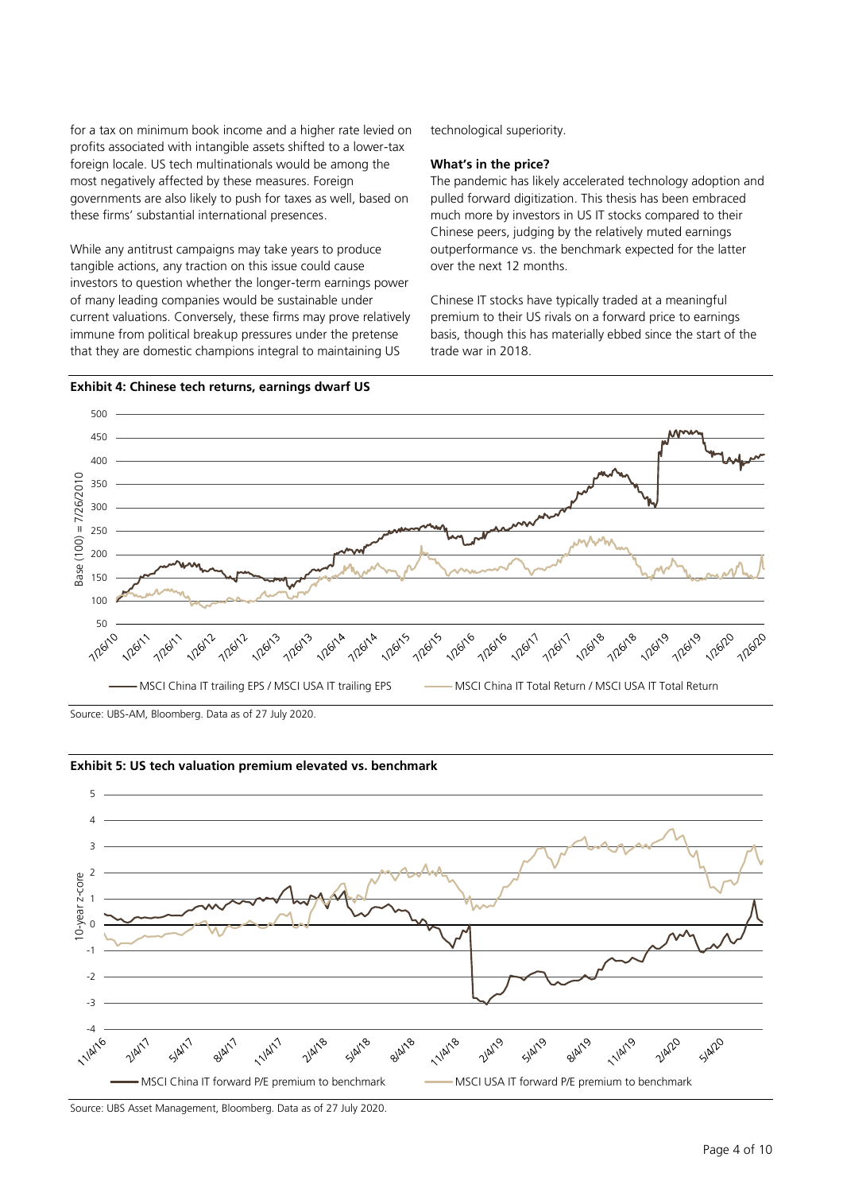for a tax on minimum book income and a higher rate levied on profits associated with intangible assets shifted to a lower-tax foreign locale. US tech multinationals would be among the most negatively affected by these measures. Foreign governments are also likely to push for taxes as well, based on these firms' substantial international presences.

While any antitrust campaigns may take years to produce tangible actions, any traction on this issue could cause investors to question whether the longer-term earnings power of many leading companies would be sustainable under current valuations. Conversely, these firms may prove relatively immune from political breakup pressures under the pretense that they are domestic champions integral to maintaining US

technological superiority.

# **What's in the price?**

The pandemic has likely accelerated technology adoption and pulled forward digitization. This thesis has been embraced much more by investors in US IT stocks compared to their Chinese peers, judging by the relatively muted earnings outperformance vs. the benchmark expected for the latter over the next 12 months.

Chinese IT stocks have typically traded at a meaningful premium to their US rivals on a forward price to earnings basis, though this has materially ebbed since the start of the trade war in 2018.



**Exhibit 4: Chinese tech returns, earnings dwarf US**

Source: UBS-AM, Bloomberg. Data as of 27 July 2020.



**Exhibit 5: US tech valuation premium elevated vs. benchmark**

Source: UBS Asset Management, Bloomberg. Data as of 27 July 2020.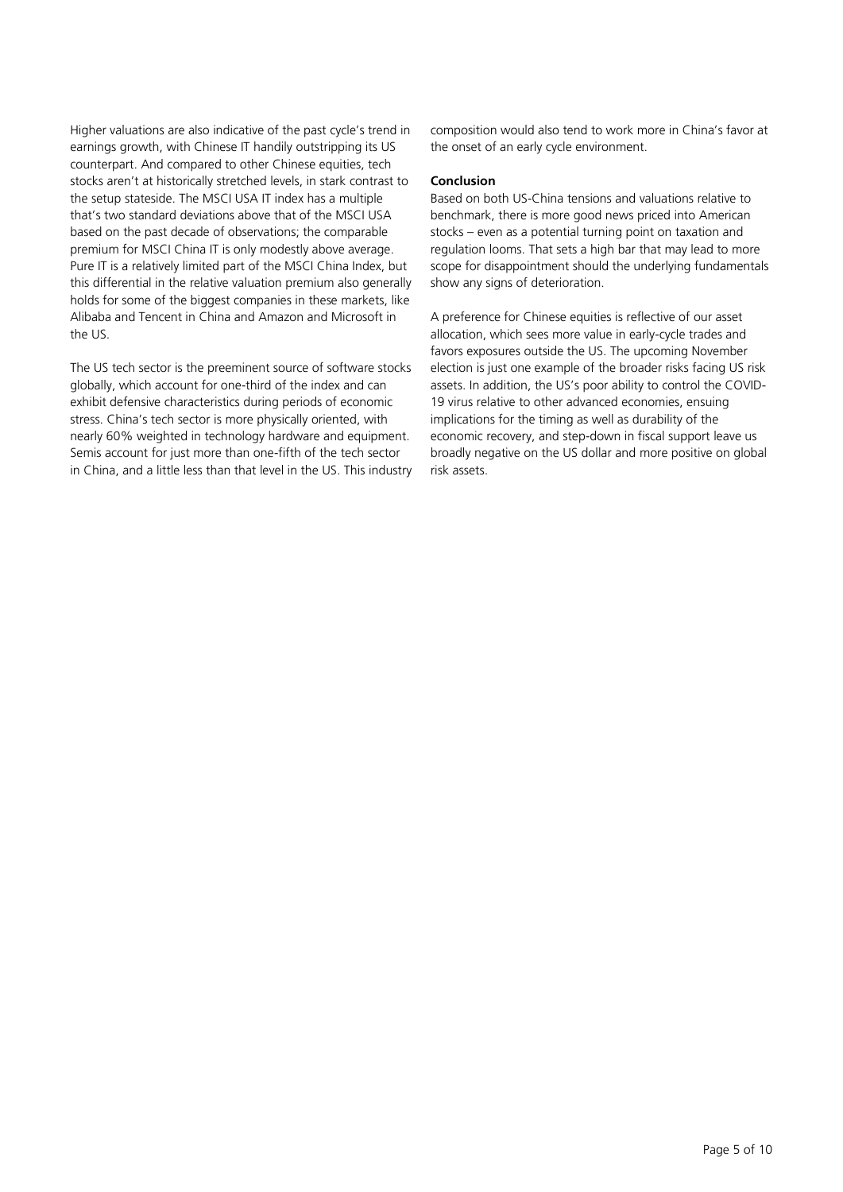Higher valuations are also indicative of the past cycle's trend in earnings growth, with Chinese IT handily outstripping its US counterpart. And compared to other Chinese equities, tech stocks aren't at historically stretched levels, in stark contrast to the setup stateside. The MSCI USA IT index has a multiple that's two standard deviations above that of the MSCI USA based on the past decade of observations; the comparable premium for MSCI China IT is only modestly above average. Pure IT is a relatively limited part of the MSCI China Index, but this differential in the relative valuation premium also generally holds for some of the biggest companies in these markets, like Alibaba and Tencent in China and Amazon and Microsoft in the US.

The US tech sector is the preeminent source of software stocks globally, which account for one-third of the index and can exhibit defensive characteristics during periods of economic stress. China's tech sector is more physically oriented, with nearly 60% weighted in technology hardware and equipment. Semis account for just more than one-fifth of the tech sector in China, and a little less than that level in the US. This industry composition would also tend to work more in China's favor at the onset of an early cycle environment.

# **Conclusion**

Based on both US-China tensions and valuations relative to benchmark, there is more good news priced into American stocks – even as a potential turning point on taxation and regulation looms. That sets a high bar that may lead to more scope for disappointment should the underlying fundamentals show any signs of deterioration.

A preference for Chinese equities is reflective of our asset allocation, which sees more value in early-cycle trades and favors exposures outside the US. The upcoming November election is just one example of the broader risks facing US risk assets. In addition, the US's poor ability to control the COVID-19 virus relative to other advanced economies, ensuing implications for the timing as well as durability of the economic recovery, and step-down in fiscal support leave us broadly negative on the US dollar and more positive on global risk assets.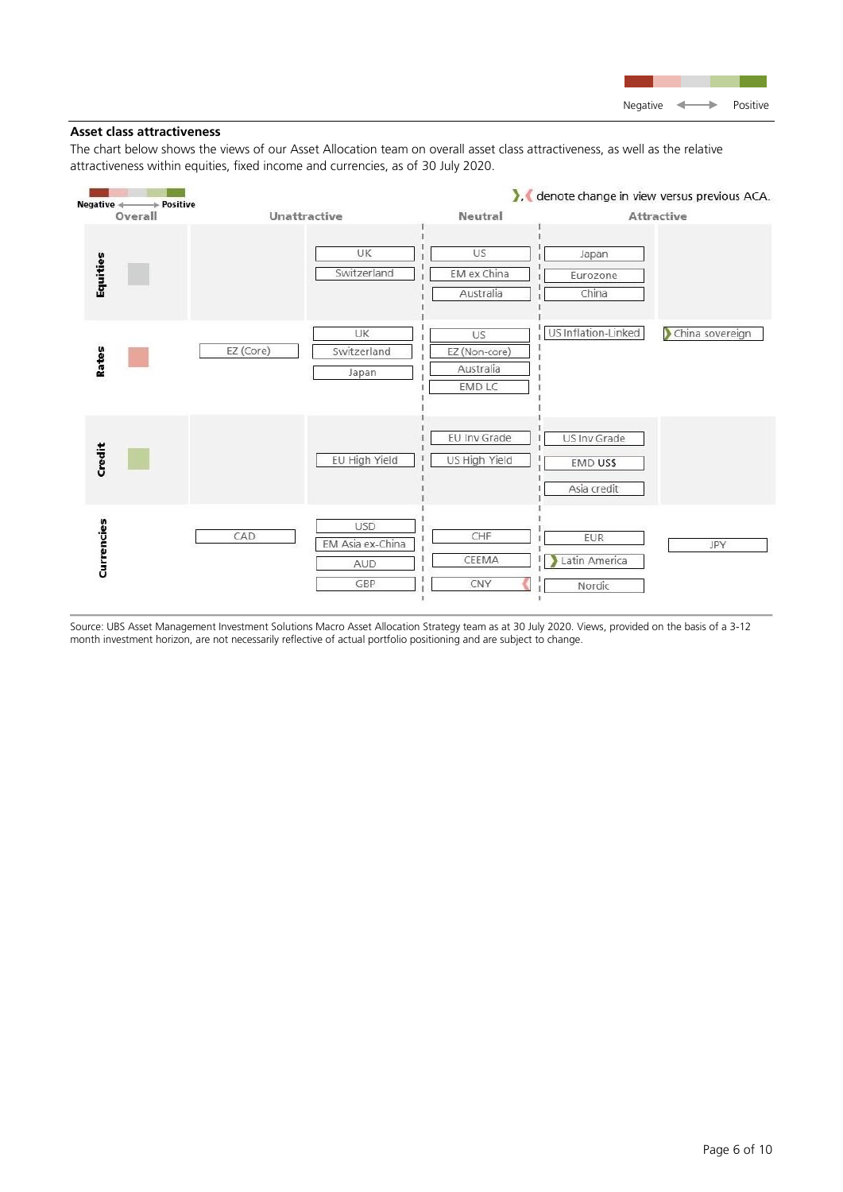

# **Asset class attractiveness**

The chart below shows the views of our Asset Allocation team on overall asset class attractiveness, as well as the relative attractiveness within equities, fixed income and currencies, as of 30 July 2020.



Source: UBS Asset Management Investment Solutions Macro Asset Allocation Strategy team as at 30 July 2020. Views, provided on the basis of a 3-12 month investment horizon, are not necessarily reflective of actual portfolio positioning and are subject to change.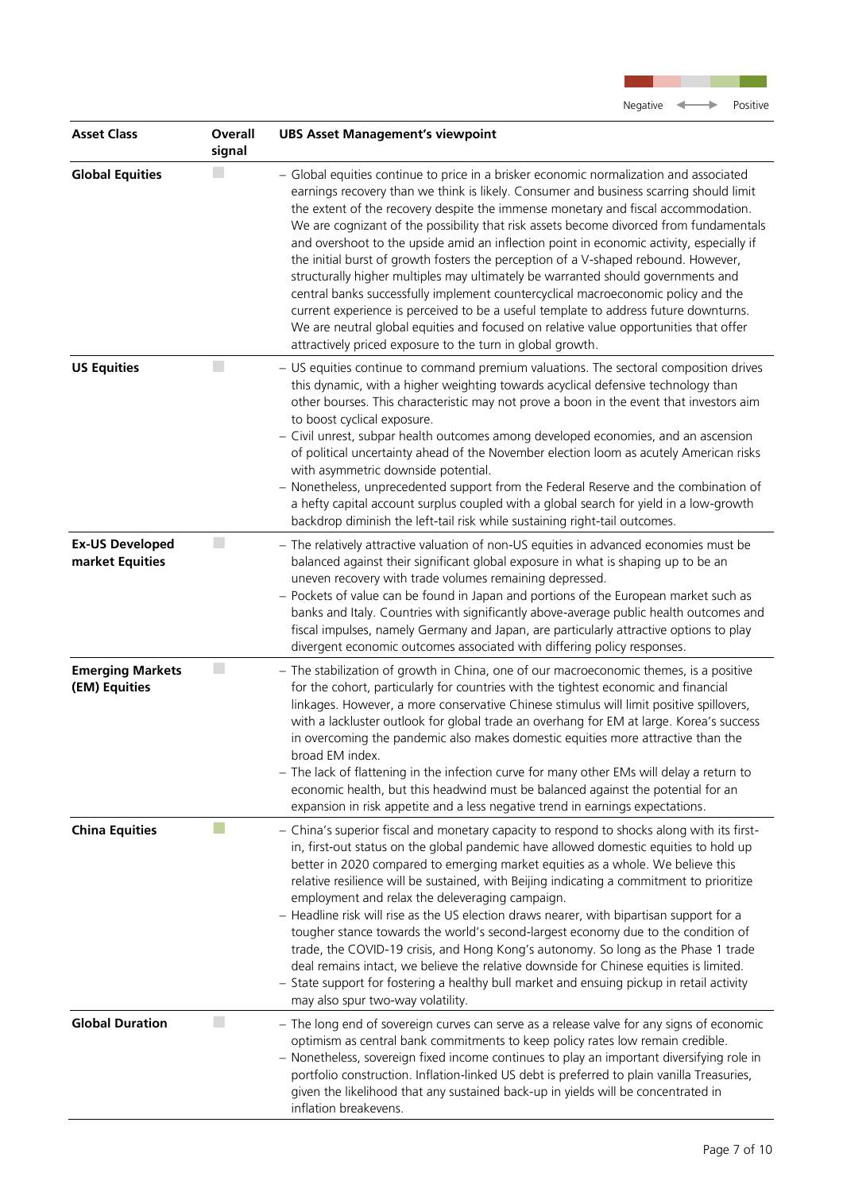

| <b>Asset Class</b>                        | Overall<br>signal | <b>UBS Asset Management's viewpoint</b>                                                                                                                                                                                                                                                                                                                                                                                                                                                                                                                                                                                                                                                                                                                                                                                                                                                                                                                                   |
|-------------------------------------------|-------------------|---------------------------------------------------------------------------------------------------------------------------------------------------------------------------------------------------------------------------------------------------------------------------------------------------------------------------------------------------------------------------------------------------------------------------------------------------------------------------------------------------------------------------------------------------------------------------------------------------------------------------------------------------------------------------------------------------------------------------------------------------------------------------------------------------------------------------------------------------------------------------------------------------------------------------------------------------------------------------|
| <b>Global Equities</b>                    |                   | - Global equities continue to price in a brisker economic normalization and associated<br>earnings recovery than we think is likely. Consumer and business scarring should limit<br>the extent of the recovery despite the immense monetary and fiscal accommodation.<br>We are cognizant of the possibility that risk assets become divorced from fundamentals<br>and overshoot to the upside amid an inflection point in economic activity, especially if<br>the initial burst of growth fosters the perception of a V-shaped rebound. However,<br>structurally higher multiples may ultimately be warranted should governments and<br>central banks successfully implement countercyclical macroeconomic policy and the<br>current experience is perceived to be a useful template to address future downturns.<br>We are neutral global equities and focused on relative value opportunities that offer<br>attractively priced exposure to the turn in global growth. |
| <b>US Equities</b>                        | L.                | - US equities continue to command premium valuations. The sectoral composition drives<br>this dynamic, with a higher weighting towards acyclical defensive technology than<br>other bourses. This characteristic may not prove a boon in the event that investors aim<br>to boost cyclical exposure.<br>- Civil unrest, subpar health outcomes among developed economies, and an ascension<br>of political uncertainty ahead of the November election loom as acutely American risks<br>with asymmetric downside potential.<br>- Nonetheless, unprecedented support from the Federal Reserve and the combination of<br>a hefty capital account surplus coupled with a global search for yield in a low-growth<br>backdrop diminish the left-tail risk while sustaining right-tail outcomes.                                                                                                                                                                               |
| <b>Ex-US Developed</b><br>market Equities | $\Box$            | - The relatively attractive valuation of non-US equities in advanced economies must be<br>balanced against their significant global exposure in what is shaping up to be an<br>uneven recovery with trade volumes remaining depressed.<br>- Pockets of value can be found in Japan and portions of the European market such as<br>banks and Italy. Countries with significantly above-average public health outcomes and<br>fiscal impulses, namely Germany and Japan, are particularly attractive options to play<br>divergent economic outcomes associated with differing policy responses.                                                                                                                                                                                                                                                                                                                                                                             |
| <b>Emerging Markets</b><br>(EM) Equities  | $\mathbb{R}^n$    | - The stabilization of growth in China, one of our macroeconomic themes, is a positive<br>for the cohort, particularly for countries with the tightest economic and financial<br>linkages. However, a more conservative Chinese stimulus will limit positive spillovers,<br>with a lackluster outlook for global trade an overhang for EM at large. Korea's success<br>in overcoming the pandemic also makes domestic equities more attractive than the<br>broad EM index.<br>- The lack of flattening in the infection curve for many other EMs will delay a return to<br>economic health, but this headwind must be balanced against the potential for an<br>expansion in risk appetite and a less negative trend in earnings expectations.                                                                                                                                                                                                                             |
| <b>China Equities</b>                     |                   | - China's superior fiscal and monetary capacity to respond to shocks along with its first-<br>in, first-out status on the global pandemic have allowed domestic equities to hold up<br>better in 2020 compared to emerging market equities as a whole. We believe this<br>relative resilience will be sustained, with Beijing indicating a commitment to prioritize<br>employment and relax the deleveraging campaign.<br>- Headline risk will rise as the US election draws nearer, with bipartisan support for a<br>tougher stance towards the world's second-largest economy due to the condition of<br>trade, the COVID-19 crisis, and Hong Kong's autonomy. So long as the Phase 1 trade<br>deal remains intact, we believe the relative downside for Chinese equities is limited.<br>- State support for fostering a healthy bull market and ensuing pickup in retail activity<br>may also spur two-way volatility.                                                 |
| <b>Global Duration</b>                    | L.                | - The long end of sovereign curves can serve as a release valve for any signs of economic<br>optimism as central bank commitments to keep policy rates low remain credible.<br>- Nonetheless, sovereign fixed income continues to play an important diversifying role in<br>portfolio construction. Inflation-linked US debt is preferred to plain vanilla Treasuries,<br>given the likelihood that any sustained back-up in yields will be concentrated in<br>inflation breakevens.                                                                                                                                                                                                                                                                                                                                                                                                                                                                                      |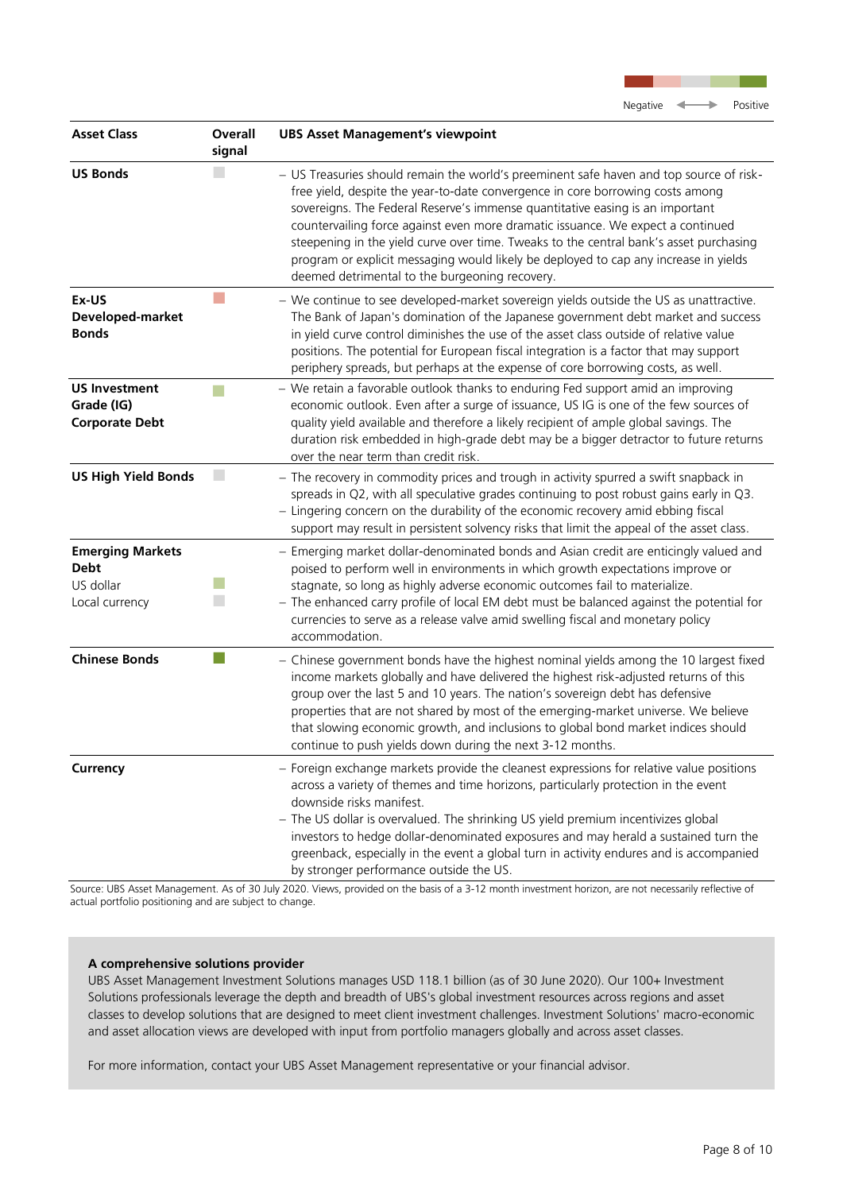

| <b>Asset Class</b>                                                    | Overall<br>signal           | <b>UBS Asset Management's viewpoint</b>                                                                                                                                                                                                                                                                                                                                                                                                                                                                                                                                           |
|-----------------------------------------------------------------------|-----------------------------|-----------------------------------------------------------------------------------------------------------------------------------------------------------------------------------------------------------------------------------------------------------------------------------------------------------------------------------------------------------------------------------------------------------------------------------------------------------------------------------------------------------------------------------------------------------------------------------|
| <b>US Bonds</b>                                                       |                             | - US Treasuries should remain the world's preeminent safe haven and top source of risk-<br>free yield, despite the year-to-date convergence in core borrowing costs among<br>sovereigns. The Federal Reserve's immense quantitative easing is an important<br>countervailing force against even more dramatic issuance. We expect a continued<br>steepening in the yield curve over time. Tweaks to the central bank's asset purchasing<br>program or explicit messaging would likely be deployed to cap any increase in yields<br>deemed detrimental to the burgeoning recovery. |
| Ex-US<br>Developed-market<br><b>Bonds</b>                             |                             | - We continue to see developed-market sovereign yields outside the US as unattractive.<br>The Bank of Japan's domination of the Japanese government debt market and success<br>in yield curve control diminishes the use of the asset class outside of relative value<br>positions. The potential for European fiscal integration is a factor that may support<br>periphery spreads, but perhaps at the expense of core borrowing costs, as well.                                                                                                                                 |
| <b>US Investment</b><br>Grade (IG)<br><b>Corporate Debt</b>           |                             | - We retain a favorable outlook thanks to enduring Fed support amid an improving<br>economic outlook. Even after a surge of issuance, US IG is one of the few sources of<br>quality yield available and therefore a likely recipient of ample global savings. The<br>duration risk embedded in high-grade debt may be a bigger detractor to future returns<br>over the near term than credit risk.                                                                                                                                                                                |
| <b>US High Yield Bonds</b>                                            | $\mathcal{L}_{\mathcal{A}}$ | - The recovery in commodity prices and trough in activity spurred a swift snapback in<br>spreads in Q2, with all speculative grades continuing to post robust gains early in Q3.<br>- Lingering concern on the durability of the economic recovery amid ebbing fiscal<br>support may result in persistent solvency risks that limit the appeal of the asset class.                                                                                                                                                                                                                |
| <b>Emerging Markets</b><br><b>Debt</b><br>US dollar<br>Local currency |                             | - Emerging market dollar-denominated bonds and Asian credit are enticingly valued and<br>poised to perform well in environments in which growth expectations improve or<br>stagnate, so long as highly adverse economic outcomes fail to materialize.<br>- The enhanced carry profile of local EM debt must be balanced against the potential for<br>currencies to serve as a release valve amid swelling fiscal and monetary policy<br>accommodation.                                                                                                                            |
| <b>Chinese Bonds</b>                                                  |                             | - Chinese government bonds have the highest nominal yields among the 10 largest fixed<br>income markets globally and have delivered the highest risk-adjusted returns of this<br>group over the last 5 and 10 years. The nation's sovereign debt has defensive<br>properties that are not shared by most of the emerging-market universe. We believe<br>that slowing economic growth, and inclusions to global bond market indices should<br>continue to push yields down during the next 3-12 months.                                                                            |
| <b>Currency</b>                                                       |                             | - Foreign exchange markets provide the cleanest expressions for relative value positions<br>across a variety of themes and time horizons, particularly protection in the event<br>downside risks manifest.<br>- The US dollar is overvalued. The shrinking US yield premium incentivizes global<br>investors to hedge dollar-denominated exposures and may herald a sustained turn the<br>greenback, especially in the event a global turn in activity endures and is accompanied<br>by stronger performance outside the US.                                                      |

Source: UBS Asset Management. As of 30 July 2020. Views, provided on the basis of a 3-12 month investment horizon, are not necessarily reflective of actual portfolio positioning and are subject to change.

# **A comprehensive solutions provider**

UBS Asset Management Investment Solutions manages USD 118.1 billion (as of 30 June 2020). Our 100+ Investment Solutions professionals leverage the depth and breadth of UBS's global investment resources across regions and asset classes to develop solutions that are designed to meet client investment challenges. Investment Solutions' macro-economic and asset allocation views are developed with input from portfolio managers globally and across asset classes.

For more information, contact your UBS Asset Management representative or your financial advisor.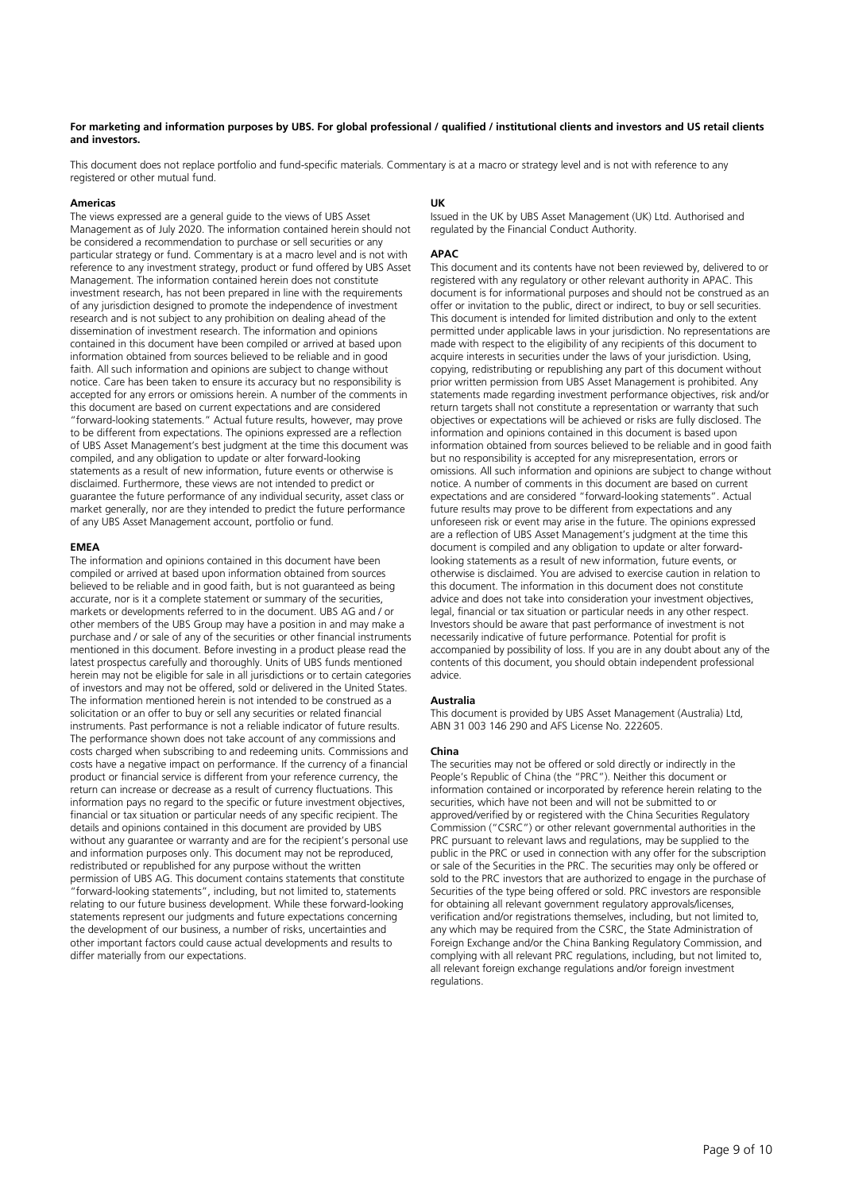#### **For marketing and information purposes by UBS. For global professional / qualified / institutional clients and investors and US retail clients and investors.**

This document does not replace portfolio and fund-specific materials. Commentary is at a macro or strategy level and is not with reference to any registered or other mutual fund.

#### **Americas**

The views expressed are a general guide to the views of UBS Asset Management as of July 2020. The information contained herein should not be considered a recommendation to purchase or sell securities or any particular strategy or fund. Commentary is at a macro level and is not with reference to any investment strategy, product or fund offered by UBS Asset Management. The information contained herein does not constitute investment research, has not been prepared in line with the requirements of any jurisdiction designed to promote the independence of investment research and is not subject to any prohibition on dealing ahead of the dissemination of investment research. The information and opinions contained in this document have been compiled or arrived at based upon information obtained from sources believed to be reliable and in good faith. All such information and opinions are subject to change without notice. Care has been taken to ensure its accuracy but no responsibility is accepted for any errors or omissions herein. A number of the comments in this document are based on current expectations and are considered "forward-looking statements." Actual future results, however, may prove to be different from expectations. The opinions expressed are a reflection of UBS Asset Management's best judgment at the time this document was compiled, and any obligation to update or alter forward-looking statements as a result of new information, future events or otherwise is disclaimed. Furthermore, these views are not intended to predict or guarantee the future performance of any individual security, asset class or market generally, nor are they intended to predict the future performance of any UBS Asset Management account, portfolio or fund.

#### **EMEA**

The information and opinions contained in this document have been compiled or arrived at based upon information obtained from sources believed to be reliable and in good faith, but is not guaranteed as being accurate, nor is it a complete statement or summary of the securities, markets or developments referred to in the document. UBS AG and / or other members of the UBS Group may have a position in and may make a purchase and / or sale of any of the securities or other financial instruments mentioned in this document. Before investing in a product please read the latest prospectus carefully and thoroughly. Units of UBS funds mentioned herein may not be eligible for sale in all jurisdictions or to certain categories of investors and may not be offered, sold or delivered in the United States. The information mentioned herein is not intended to be construed as a solicitation or an offer to buy or sell any securities or related financial instruments. Past performance is not a reliable indicator of future results. The performance shown does not take account of any commissions and costs charged when subscribing to and redeeming units. Commissions and costs have a negative impact on performance. If the currency of a financial product or financial service is different from your reference currency, the return can increase or decrease as a result of currency fluctuations. This information pays no regard to the specific or future investment objectives, financial or tax situation or particular needs of any specific recipient. The details and opinions contained in this document are provided by UBS without any guarantee or warranty and are for the recipient's personal use and information purposes only. This document may not be reproduced, redistributed or republished for any purpose without the written permission of UBS AG. This document contains statements that constitute "forward-looking statements", including, but not limited to, statements relating to our future business development. While these forward-looking statements represent our judgments and future expectations concerning the development of our business, a number of risks, uncertainties and other important factors could cause actual developments and results to differ materially from our expectations.

#### **UK**

Issued in the UK by UBS Asset Management (UK) Ltd. Authorised and regulated by the Financial Conduct Authority.

#### **APAC**

This document and its contents have not been reviewed by, delivered to or registered with any regulatory or other relevant authority in APAC. This document is for informational purposes and should not be construed as an offer or invitation to the public, direct or indirect, to buy or sell securities. This document is intended for limited distribution and only to the extent permitted under applicable laws in your jurisdiction. No representations are made with respect to the eligibility of any recipients of this document to acquire interests in securities under the laws of your jurisdiction. Using, copying, redistributing or republishing any part of this document without prior written permission from UBS Asset Management is prohibited. Any statements made regarding investment performance objectives, risk and/or return targets shall not constitute a representation or warranty that such objectives or expectations will be achieved or risks are fully disclosed. The information and opinions contained in this document is based upon information obtained from sources believed to be reliable and in good faith but no responsibility is accepted for any misrepresentation, errors or omissions. All such information and opinions are subject to change without notice. A number of comments in this document are based on current expectations and are considered "forward-looking statements". Actual future results may prove to be different from expectations and any unforeseen risk or event may arise in the future. The opinions expressed are a reflection of UBS Asset Management's judgment at the time this document is compiled and any obligation to update or alter forwardlooking statements as a result of new information, future events, or otherwise is disclaimed. You are advised to exercise caution in relation to this document. The information in this document does not constitute advice and does not take into consideration your investment objectives, legal, financial or tax situation or particular needs in any other respect. Investors should be aware that past performance of investment is not necessarily indicative of future performance. Potential for profit is accompanied by possibility of loss. If you are in any doubt about any of the contents of this document, you should obtain independent professional advice.

#### **Australia**

This document is provided by UBS Asset Management (Australia) Ltd, ABN 31 003 146 290 and AFS License No. 222605.

#### **China**

The securities may not be offered or sold directly or indirectly in the People's Republic of China (the "PRC"). Neither this document or information contained or incorporated by reference herein relating to the securities, which have not been and will not be submitted to or approved/verified by or registered with the China Securities Regulatory Commission ("CSRC") or other relevant governmental authorities in the PRC pursuant to relevant laws and regulations, may be supplied to the public in the PRC or used in connection with any offer for the subscription or sale of the Securities in the PRC. The securities may only be offered or sold to the PRC investors that are authorized to engage in the purchase of Securities of the type being offered or sold. PRC investors are responsible for obtaining all relevant government regulatory approvals/licenses, verification and/or registrations themselves, including, but not limited to, any which may be required from the CSRC, the State Administration of Foreign Exchange and/or the China Banking Regulatory Commission, and complying with all relevant PRC regulations, including, but not limited to, all relevant foreign exchange regulations and/or foreign investment regulations.